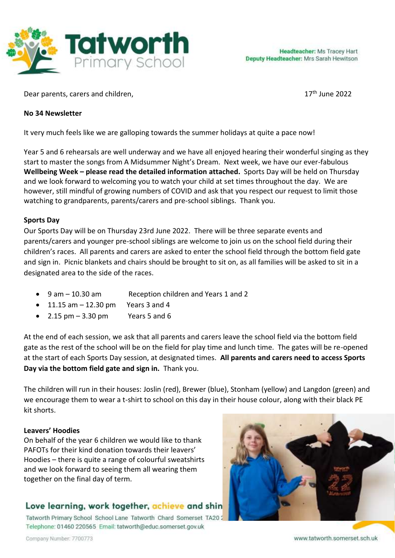

Dear parents, carers and children,

 $17<sup>th</sup>$  June 2022

#### **No 34 Newsletter**

It very much feels like we are galloping towards the summer holidays at quite a pace now!

Year 5 and 6 rehearsals are well underway and we have all enjoyed hearing their wonderful singing as they start to master the songs from A Midsummer Night's Dream. Next week, we have our ever-fabulous **Wellbeing Week – please read the detailed information attached.** Sports Day will be held on Thursday and we look forward to welcoming you to watch your child at set times throughout the day. We are however, still mindful of growing numbers of COVID and ask that you respect our request to limit those watching to grandparents, parents/carers and pre-school siblings. Thank you.

### **Sports Day**

Our Sports Day will be on Thursday 23rd June 2022. There will be three separate events and parents/carers and younger pre-school siblings are welcome to join us on the school field during their children's races. All parents and carers are asked to enter the school field through the bottom field gate and sign in. Picnic blankets and chairs should be brought to sit on, as all families will be asked to sit in a designated area to the side of the races.

- 9 am 10.30 am Reception children and Years 1 and 2
- $\bullet$  11.15 am  $-$  12.30 pm Years 3 and 4
- 2.15  $\text{pm} 3.30 \text{pm}$  Years 5 and 6

At the end of each session, we ask that all parents and carers leave the school field via the bottom field gate as the rest of the school will be on the field for play time and lunch time. The gates will be re-opened at the start of each Sports Day session, at designated times. **All parents and carers need to access Sports Day via the bottom field gate and sign in.** Thank you.

The children will run in their houses: Joslin (red), Brewer (blue), Stonham (yellow) and Langdon (green) and we encourage them to wear a t-shirt to school on this day in their house colour, along with their black PE kit shorts.

#### **Leavers' Hoodies**

On behalf of the year 6 children we would like to thank PAFOTs for their kind donation towards their leavers' Hoodies – there is quite a range of colourful sweatshirts and we look forward to seeing them all wearing them together on the final day of term.

# Love learning, work together, achieve and shin

Tatworth Primary School School Lane Tatworth Chard Somerset TA20: Telephone: 01460 220565 Email: tatworth@educ.somerset.gov.uk

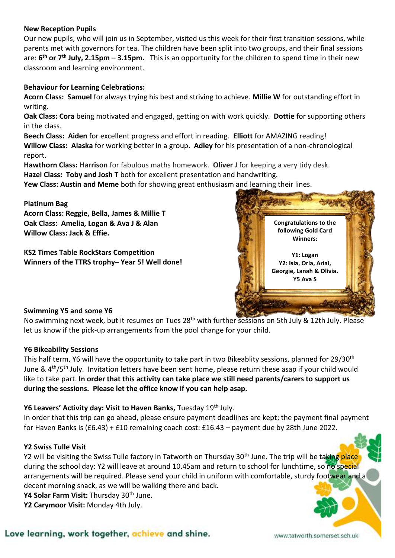#### **New Reception Pupils**

Our new pupils, who will join us in September, visited us this week for their first transition sessions, while parents met with governors for tea. The children have been split into two groups, and their final sessions are: **6 th or 7th July, 2.15pm – 3.15pm.** This is an opportunity for the children to spend time in their new classroom and learning environment.

#### **Behaviour for Learning Celebrations:**

**Acorn Class: Samuel** for always trying his best and striving to achieve. **Millie W** for outstanding effort in writing.

**Oak Class: Cora** being motivated and engaged, getting on with work quickly. **Dottie** for supporting others in the class.

**Beech Class: Aiden** for excellent progress and effort in reading. **Elliott** for AMAZING reading! **Willow Class: Alaska** for working better in a group. **Adley** for his presentation of a non-chronological report.

**Hawthorn Class: Harrison** for fabulous maths homework. **Oliver J** for keeping a very tidy desk. **Hazel Class: Toby and Josh T** both for excellent presentation and handwriting.

**Yew Class: Austin and Meme** both for showing great enthusiasm and learning their lines.

#### **Platinum Bag**

**Acorn Class: Reggie, Bella, James & Millie T Oak Class: Amelia, Logan & Ava J & Alan Willow Class: Jack & Effie.**

**KS2 Times Table RockStars Competition Winners of the TTRS trophy– Year 5! Well done!**



#### **Swimming Y5 and some Y6**

No swimming next week, but it resumes on Tues 28<sup>th</sup> with further sessions on 5th July & 12th July. Please let us know if the pick-up arrangements from the pool change for your child.

#### **Y6 Bikeability Sessions**

This half term, Y6 will have the opportunity to take part in two Bikeablity sessions, planned for 29/30<sup>th</sup> June &  $4<sup>th</sup>/5<sup>th</sup>$  July. Invitation letters have been sent home, please return these asap if your child would like to take part. **In order that this activity can take place we still need parents/carers to support us during the sessions. Please let the office know if you can help asap.**

#### Y6 Leavers' Activity day: Visit to Haven Banks, Tuesday 19<sup>th</sup> July.

In order that this trip can go ahead, please ensure payment deadlines are kept; the payment final payment for Haven Banks is (£6.43) + £10 remaining coach cost: £16.43 – payment due by 28th June 2022.

#### **Y2 Swiss Tulle Visit**

Y2 will be visiting the Swiss Tulle factory in Tatworth on Thursday 30<sup>th</sup> June. The trip will be taking place during the school day: Y2 will leave at around 10.45am and return to school for lunchtime, so no special arrangements will be required. Please send your child in uniform with comfortable, sturdy footwear and a decent morning snack, as we will be walking there and back.

Y4 Solar Farm Visit: Thursday 30<sup>th</sup> June.

**Y2 Carymoor Visit:** Monday 4th July.

## Love learning, work together, achieve and shine.

www.tatworth.somerset.sch.uk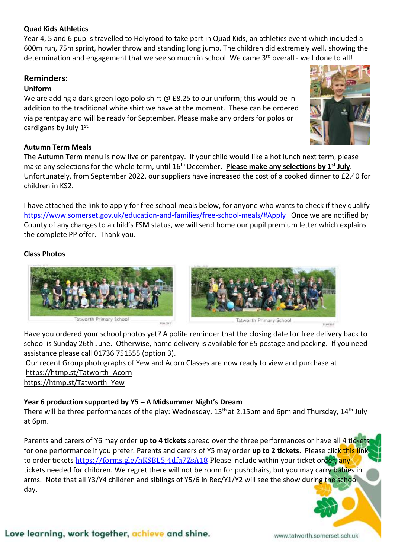#### **Quad Kids Athletics**

Year 4, 5 and 6 pupils travelled to Holyrood to take part in Quad Kids, an athletics event which included a 600m run, 75m sprint, howler throw and standing long jump. The children did extremely well, showing the determination and engagement that we see so much in school. We came 3<sup>rd</sup> overall - well done to all!

## **Reminders:**

#### **Uniform**

We are adding a dark green logo polo shirt  $\omega$  £8.25 to our uniform; this would be in addition to the traditional white shirt we have at the moment. These can be ordered via parentpay and will be ready for September. Please make any orders for polos or cardigans by July 1st.

#### **Autumn Term Meals**

The Autumn Term menu is now live on parentpay. If your child would like a hot lunch next term, please make any selections for the whole term, until 16th December. **Please make any selections by 1st July**. Unfortunately, from September 2022, our suppliers have increased the cost of a cooked dinner to £2.40 for children in KS2.

I have attached the link to apply for free school meals below, for anyone who wants to check if they qualify <https://www.somerset.gov.uk/education-and-families/free-school-meals/#Apply>Once we are notified by County of any changes to a child's FSM status, we will send home our pupil premium letter which explains the complete PP offer. Thank you.

#### **Class Photos**



Have you ordered your school photos yet? A polite reminder that the closing date for free delivery back to school is Sunday 26th June. Otherwise, home delivery is available for £5 postage and packing. If you need assistance please call 01736 751555 (option 3).

Our recent Group photographs of Yew and Acorn Classes are now ready to view and purchase at https://htmp.st/Tatworth\_Acorn

[https://htmp.st/Tatworth\\_Yew](https://htmp.st/Tatworth_Yew)

# **Year 6 production supported by Y5 – A Midsummer Night's Dream**

There will be three performances of the play: Wednesday, 13<sup>th</sup> at 2.15pm and 6pm and Thursday, 14<sup>th</sup> July at 6pm.

Parents and carers of Y6 may order **up to 4 tickets** spread over the three performances or have all 4 tickets for one performance if you prefer. Parents and carers of Y5 may order **up to 2 tickets**. Please click this link to order tickets <https://forms.gle/hKSBL5j4dfa7ZsA18> Please include within your ticket order, any tickets needed for children. We regret there will not be room for pushchairs, but you may carry babies in arms. Note that all Y3/Y4 children and siblings of Y5/6 in Rec/Y1/Y2 will see the show during the school day.

# Love learning, work together, achieve and shine.

www.tatworth.somerset.sch.uk